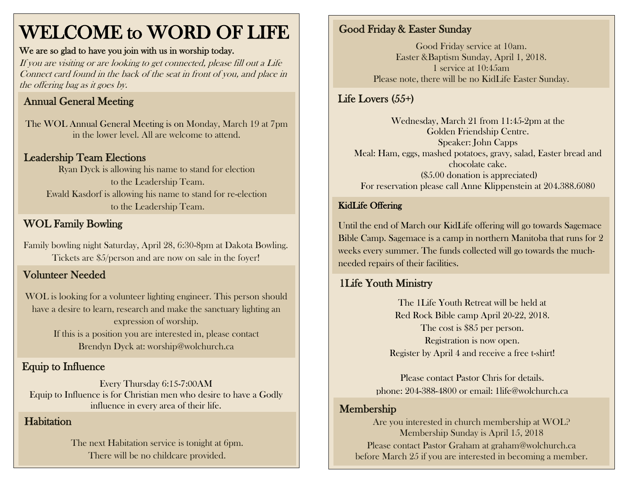# WELCOME to WORD OF LIFE

#### We are so glad to have you join with us in worship today.

If you are visiting or are looking to get connected, please fill out a Life Connect card found in the back of the seat in front of you, and place in the offering bag as it goes by.

## Annual General Meeting

The WOL Annual General Meeting is on Monday, March 19 at 7pm in the lower level. All are welcome to attend.

## Leadership Team Elections

Ryan Dyck is allowing his name to stand for election to the Leadership Team. Ewald Kasdorf is allowing his name to stand for re-election to the Leadership Team.

## WOL Family Bowling

Family bowling night Saturday, April 28, 6:30-8pm at Dakota Bowling. Tickets are \$5/person and are now on sale in the foyer!

## Volunteer Needed

WOL is looking for a volunteer lighting engineer. This person should have a desire to learn, research and make the sanctuary lighting an expression of worship. If this is a position you are interested in, please contact Brendyn Dyck at: worship@wolchurch.ca

## Equip to Influence

Every Thursday 6:15-7:00AM Equip to Influence is for Christian men who desire to have a Godly influence in every area of their life.

## **Habitation**

The next Habitation service is tonight at 6pm. There will be no childcare provided.

## Good Friday & Easter Sunday

Good Friday service at 10am. Easter &Baptism Sunday, April 1, 2018. 1 service at 10:45am Please note, there will be no KidLife Easter Sunday.

## Life Lovers (55+)

Wednesday, March 21 from 11:45-2pm at the Golden Friendship Centre. Speaker: John Capps Meal: Ham, eggs, mashed potatoes, gravy, salad, Easter bread and chocolate cake. (\$5.00 donation is appreciated) For reservation please call Anne Klippenstein at 204.388.6080

#### KidLife Offering

Until the end of March our KidLife offering will go towards Sagemace Bible Camp. Sagemace is a camp in northern Manitoba that runs for 2 weeks every summer. The funds collected will go towards the muchneeded repairs of their facilities.

## 1Life Youth Ministry

The 1Life Youth Retreat will be held at Red Rock Bible camp April 20-22, 2018. The cost is \$85 per person. Registration is now open. Register by April 4 and receive a free t-shirt!

Please contact Pastor Chris for details. phone: 204-388-4800 or email: 1life@wolchurch.ca

## Membership

Are you interested in church membership at WOL? Membership Sunday is April 15, 2018 Please contact Pastor Graham at [graham@wolchurch.ca](mailto:graham@wolchurch.ca) before March 25 if you are interested in becoming a member.